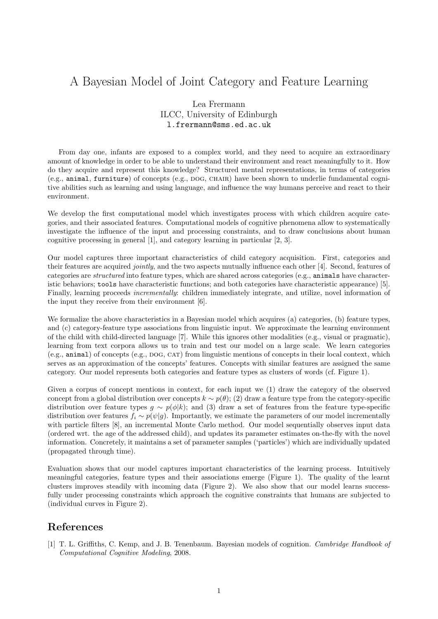## A Bayesian Model of Joint Category and Feature Learning

## Lea Frermann ILCC, University of Edinburgh l.frermann@sms.ed.ac.uk

From day one, infants are exposed to a complex world, and they need to acquire an extraordinary amount of knowledge in order to be able to understand their environment and react meaningfully to it. How do they acquire and represent this knowledge? Structured mental representations, in terms of categories (e.g., animal, furniture) of concepts (e.g., dog, chair) have been shown to underlie fundamental cognitive abilities such as learning and using language, and influence the way humans perceive and react to their environment.

We develop the first computational model which investigates process with which children acquire categories, and their associated features. Computational models of cognitive phenomena allow to systematically investigate the influence of the input and processing constraints, and to draw conclusions about human cognitive processing in general [1], and category learning in particular [2, 3].

Our model captures three important characteristics of child category acquisition. First, categories and their features are acquired jointly, and the two aspects mutually influence each other [4]. Second, features of categories are structured into feature types, which are shared across categories (e.g., animals have characteristic behaviors; tools have characteristic functions; and both categories have characteristic appearance) [5]. Finally, learning proceeds *incrementally*: children immediately integrate, and utilize, novel information of the input they receive from their environment [6].

We formalize the above characteristics in a Bayesian model which acquires (a) categories, (b) feature types, and (c) category-feature type associations from linguistic input. We approximate the learning environment of the child with child-directed language [7]. While this ignores other modalities (e.g., visual or pragmatic), learning from text corpora allows us to train and test our model on a large scale. We learn categories (e.g., animal) of concepts (e.g., dog, cat) from linguistic mentions of concepts in their local context, which serves as an approximation of the concepts' features. Concepts with similar features are assigned the same category. Our model represents both categories and feature types as clusters of words (cf. Figure 1).

Given a corpus of concept mentions in context, for each input we (1) draw the category of the observed concept from a global distribution over concepts  $k \sim p(\theta)$ ; (2) draw a feature type from the category-specific distribution over feature types  $g \sim p(\phi|k)$ ; and (3) draw a set of features from the feature type-specific distribution over features  $f_i \sim p(\psi|q)$ . Importantly, we estimate the parameters of our model incrementally with particle filters [8], an incremental Monte Carlo method. Our model sequentially observes input data (ordered wrt. the age of the addressed child), and updates its parameter estimates on-the-fly with the novel information. Concretely, it maintains a set of parameter samples ('particles') which are individually updated (propagated through time).

Evaluation shows that our model captures important characteristics of the learning process. Intuitively meaningful categories, feature types and their associations emerge (Figure 1). The quality of the learnt clusters improves steadily with incoming data (Figure 2). We also show that our model learns successfully under processing constraints which approach the cognitive constraints that humans are subjected to (individual curves in Figure 2).

## References

[1] T. L. Griffiths, C. Kemp, and J. B. Tenenbaum. Bayesian models of cognition. Cambridge Handbook of Computational Cognitive Modeling, 2008.